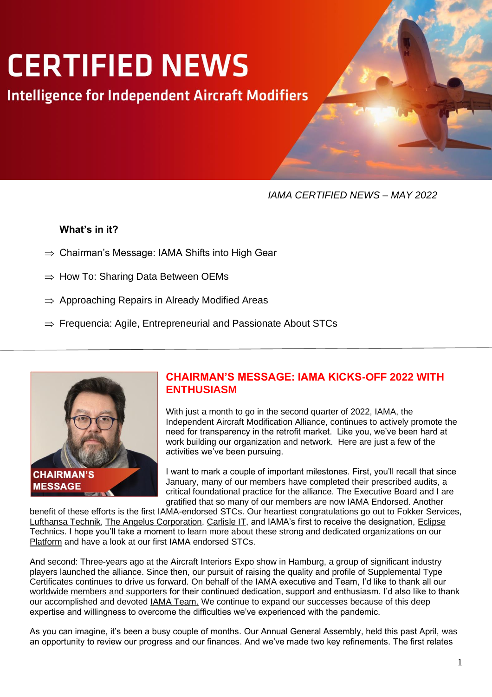# **CERTIFIED NEWS**

**Intelligence for Independent Aircraft Modifiers** 

*IAMA CERTIFIED NEWS – MAY 2022*

#### **What's in it?**

- $\Rightarrow$  [Chairman's Message: IAMA Shifts into High Gear](#page-0-0)
- $\Rightarrow$  [How To: Sharing Data Between OEMs](#page-1-0)
- $\Rightarrow$  [Approaching Repairs in Already Modified Areas](#page-2-0)
- $\Rightarrow$  [Frequencia: Agile, Entrepreneurial and Passionate About STCs](#page-3-0)



# <span id="page-0-0"></span>**CHAIRMAN'S MESSAGE: IAMA KICKS-OFF 2022 WITH ENTHUSIASM**

With just a month to go in the second quarter of 2022, IAMA, the Independent Aircraft Modification Alliance, continues to actively promote the need for transparency in the retrofit market. Like you, we've been hard at work building our organization and network. Here are just a few of the activities we've been pursuing.

I want to mark a couple of important milestones. First, you'll recall that since January, many of our members have completed their prescribed audits, a critical foundational practice for the alliance. The Executive Board and I are gratified that so many of our members are now IAMA Endorsed. Another

benefit of these efforts is the first IAMA-endorsed STCs. Our heartiest congratulations go out to [Fokker Services,](https://members.iamalliance.aero/#/members/1027/view) [Lufthansa Technik,](https://members.iamalliance.aero/#/members/4/view) [The Angelus Corporation,](https://members.iamalliance.aero/#/members/1050/view) [Carlisle IT,](https://members.iamalliance.aero/#/members/1047/view) and IAMA's first to receive the designation, [Eclipse](https://members.iamalliance.aero/#/members/1040/view)  [Technics.](https://members.iamalliance.aero/#/members/1040/view) I hope you'll take a moment to learn more about these strong and dedicated organizations on our [Platform](https://members.iamalliance.aero/#/members) and have a look at our first IAMA endorsed STCs.

And second: Three-years ago at the Aircraft Interiors Expo show in Hamburg, a group of significant industry players launched the alliance. Since then, our pursuit of raising the quality and profile of Supplemental Type Certificates continues to drive us forward. On behalf of the IAMA executive and Team, I'd like to thank all our [worldwide members and supporters](https://iamalliance.aero/members-memberships.html#full-members) for their continued dedication, support and enthusiasm. I'd also like to thank our accomplished and devoted [IAMA Team.](https://iamalliance.aero/about-iama.html#article-29) We continue to expand our successes because of this deep expertise and willingness to overcome the difficulties we've experienced with the pandemic.

As you can imagine, it's been a busy couple of months. Our Annual General Assembly, held this past April, was an opportunity to review our progress and our finances. And we've made two key refinements. The first relates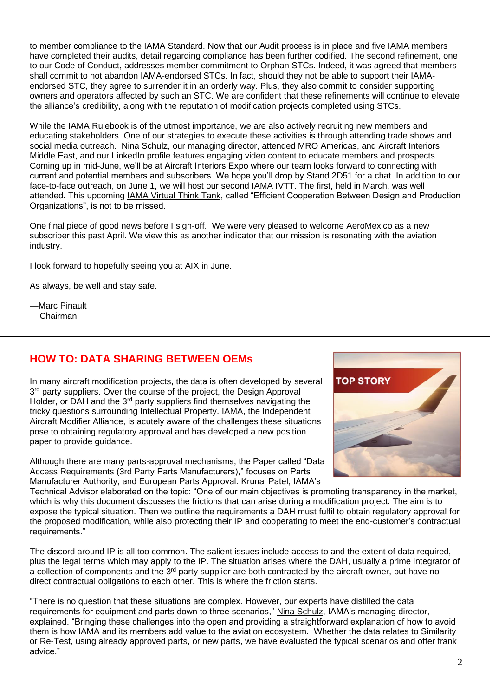to member compliance to the IAMA Standard. Now that our Audit process is in place and five IAMA members have completed their audits, detail regarding compliance has been further codified. The second refinement, one to our Code of Conduct, addresses member commitment to Orphan STCs. Indeed, it was agreed that members shall commit to not abandon IAMA-endorsed STCs. In fact, should they not be able to support their IAMAendorsed STC, they agree to surrender it in an orderly way. Plus, they also commit to consider supporting owners and operators affected by such an STC. We are confident that these refinements will continue to elevate the alliance's credibility, along with the reputation of modification projects completed using STCs.

While the IAMA Rulebook is of the utmost importance, we are also actively recruiting new members and educating stakeholders. One of our strategies to execute these activities is through attending trade shows and social media outreach. [Nina Schulz,](https://iamalliance.aero/about-iama.html) our managing director, attended MRO Americas, and Aircraft Interiors Middle East, and our LinkedIn profile features engaging video content to educate members and prospects. Coming up in mid-June, we'll be at Aircraft Interiors Expo where our [team](https://www.linkedin.com/posts/independent-aircraft-modifier-alliance_iama-aix22-poweredbyexpertise-activity-6930462802104999936-6L8E/?utm_source=linkedin_share&utm_medium=member_desktop_web) looks forward to connecting with current and potential members and subscribers. We hope you'll drop by [Stand 2D51](https://www.aircraftinteriorsexpo.com/en-gb/exhibitor-directory.html?locale=en-GB&query=IAMA) for a chat. In addition to our face-to-face outreach, on June 1, we will host our second IAMA IVTT. The first, held in March, was well attended. This upcoming [IAMA Virtual Think Tank,](https://www.linkedin.com/events/ivtt02-efficientcooperationbetw6929787535971782656/about/) called "Efficient Cooperation Between Design and Production Organizations", is not to be missed.

One final piece of good news before I sign-off. We were very pleased to welcome [AeroMexico](https://www.aeromexico.com/en-us) as a new subscriber this past April. We view this as another indicator that our mission is resonating with the aviation industry.

I look forward to hopefully seeing you at AIX in June.

As always, be well and stay safe.

—Marc Pinault Chairman

## **HOW TO: DATA SHARING BETWEEN OEMs**

<span id="page-1-0"></span>In many aircraft modification projects, the data is often developed by several 3<sup>rd</sup> party suppliers. Over the course of the project, the Design Approval Holder, or DAH and the 3<sup>rd</sup> party suppliers find themselves navigating the tricky questions surrounding Intellectual Property. IAMA, the Independent Aircraft Modifier Alliance, is acutely aware of the challenges these situations pose to obtaining regulatory approval and has developed a new position paper to provide guidance.

Although there are many parts-approval mechanisms, the Paper called "Data Access Requirements (3rd Party Parts Manufacturers)," focuses on Parts Manufacturer Authority, and European Parts Approval. Krunal Patel, IAMA's



Technical Advisor elaborated on the topic: "One of our main objectives is promoting transparency in the market, which is why this document discusses the frictions that can arise during a modification project. The aim is to expose the typical situation. Then we outline the requirements a DAH must fulfil to obtain regulatory approval for the proposed modification, while also protecting their IP and cooperating to meet the end-customer's contractual requirements."

The discord around IP is all too common. The salient issues include access to and the extent of data required, plus the legal terms which may apply to the IP. The situation arises where the DAH, usually a prime integrator of a collection of components and the  $3<sup>rd</sup>$  party supplier are both contracted by the aircraft owner, but have no direct contractual obligations to each other. This is where the friction starts.

"There is no question that these situations are complex. However, our experts have distilled the data requirements for equipment and parts down to three scenarios," [Nina Schulz,](https://iamalliance.aero/about-iama.html) IAMA's managing director, explained. "Bringing these challenges into the open and providing a straightforward explanation of how to avoid them is how IAMA and its members add value to the aviation ecosystem. Whether the data relates to Similarity or Re-Test, using already approved parts, or new parts, we have evaluated the typical scenarios and offer frank advice."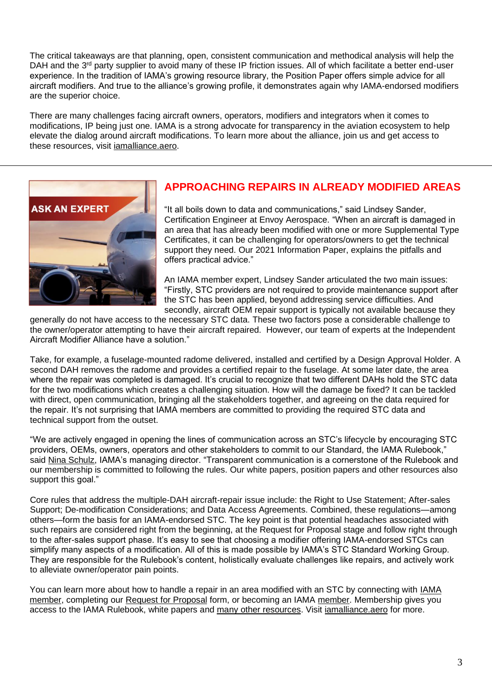The critical takeaways are that planning, open, consistent communication and methodical analysis will help the DAH and the 3<sup>rd</sup> party supplier to avoid many of these IP friction issues. All of which facilitate a better end-user experience. In the tradition of IAMA's growing resource library, the Position Paper offers simple advice for all aircraft modifiers. And true to the alliance's growing profile, it demonstrates again why IAMA-endorsed modifiers are the superior choice.

There are many challenges facing aircraft owners, operators, modifiers and integrators when it comes to modifications, IP being just one. IAMA is a strong advocate for transparency in the aviation ecosystem to help elevate the dialog around aircraft modifications. To learn more about the alliance, join us and get access to these resources, visit [iamalliance.aero.](https://iamalliance.aero/)



## <span id="page-2-0"></span>**APPROACHING REPAIRS IN ALREADY MODIFIED AREAS**

"It all boils down to data and communications," said Lindsey Sander, Certification Engineer at Envoy Aerospace. "When an aircraft is damaged in an area that has already been modified with one or more Supplemental Type Certificates, it can be challenging for operators/owners to get the technical support they need. Our 2021 Information Paper, explains the pitfalls and offers practical advice."

An IAMA member expert, Lindsey Sander articulated the two main issues: "Firstly, STC providers are not required to provide maintenance support after the STC has been applied, beyond addressing service difficulties. And secondly, aircraft OEM repair support is typically not available because they

generally do not have access to the necessary STC data. These two factors pose a considerable challenge to the owner/operator attempting to have their aircraft repaired. However, our team of experts at the Independent Aircraft Modifier Alliance have a solution."

Take, for example, a fuselage-mounted radome delivered, installed and certified by a Design Approval Holder. A second DAH removes the radome and provides a certified repair to the fuselage. At some later date, the area where the repair was completed is damaged. It's crucial to recognize that two different DAHs hold the STC data for the two modifications which creates a challenging situation. How will the damage be fixed? It can be tackled with direct, open communication, bringing all the stakeholders together, and agreeing on the data required for the repair. It's not surprising that IAMA members are committed to providing the required STC data and technical support from the outset.

"We are actively engaged in opening the lines of communication across an STC's lifecycle by encouraging STC providers, OEMs, owners, operators and other stakeholders to commit to our Standard, the IAMA Rulebook," said [Nina Schulz,](https://iamalliance.aero/about-iama.html) IAMA's managing director. "Transparent communication is a cornerstone of the Rulebook and our membership is committed to following the rules. Our white papers, position papers and other resources also support this goal."

Core rules that address the multiple-DAH aircraft-repair issue include: the Right to Use Statement; After-sales Support; De-modification Considerations; and Data Access Agreements. Combined, these regulations—among others—form the basis for an IAMA-endorsed STC. The key point is that potential headaches associated with such repairs are considered right from the beginning, at the Request for Proposal stage and follow right through to the after-sales support phase. It's easy to see that choosing a modifier offering IAMA-endorsed STCs can simplify many aspects of a modification. All of this is made possible by IAMA's STC Standard Working Group. They are responsible for the Rulebook's content, holistically evaluate challenges like repairs, and actively work to alleviate owner/operator pain points.

You can learn more about how to handle a repair in an area modified with an STC by connecting with [IAMA](https://iamalliance.aero/members-memberships.html)  [member,](https://iamalliance.aero/members-memberships.html) completing our [Request for Proposal](https://share.hsforms.com/1_IXE3C39RGS5_ns5-SWEYw502ig) form, or becoming an IAMA [member.](https://iamalliance.aero/members-memberships.html) Membership gives you access to the IAMA Rulebook, white papers and [many other resources.](https://docs.iamalliance.aero/#/documents/ResearchEducation) Visit [iamalliance.aero](https://iamalliance.aero/) for more.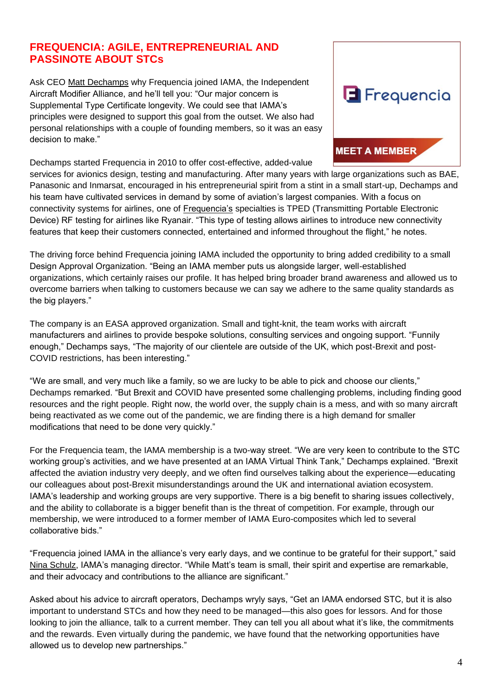#### <span id="page-3-0"></span>**FREQUENCIA: AGILE, ENTREPRENEURIAL AND PASSINOTE ABOUT STCs**

Ask CEO [Matt Dechamps](https://www.linkedin.com/in/matt-dechamps-95339b4/) why Frequencia joined IAMA, the Independent Aircraft Modifier Alliance, and he'll tell you: "Our major concern is Supplemental Type Certificate longevity. We could see that IAMA's principles were designed to support this goal from the outset. We also had personal relationships with a couple of founding members, so it was an easy decision to make."

Dechamps started Frequencia in 2010 to offer cost-effective, added-value



services for avionics design, testing and manufacturing. After many years with large organizations such as BAE, Panasonic and Inmarsat, encouraged in his entrepreneurial spirit from a stint in a small start-up, Dechamps and his team have cultivated services in demand by some of aviation's largest companies. With a focus on connectivity systems for airlines, one of [Frequencia's](https://www.frequencia.co.uk/) specialties is TPED (Transmitting Portable Electronic Device) RF testing for airlines like Ryanair. "This type of testing allows airlines to introduce new connectivity features that keep their customers connected, entertained and informed throughout the flight," he notes.

The driving force behind Frequencia joining IAMA included the opportunity to bring added credibility to a small Design Approval Organization. "Being an IAMA member puts us alongside larger, well-established organizations, which certainly raises our profile. It has helped bring broader brand awareness and allowed us to overcome barriers when talking to customers because we can say we adhere to the same quality standards as the big players."

The company is an EASA approved organization. Small and tight-knit, the team works with aircraft manufacturers and airlines to provide bespoke solutions, consulting services and ongoing support. "Funnily enough," Dechamps says, "The majority of our clientele are outside of the UK, which post-Brexit and post-COVID restrictions, has been interesting."

"We are small, and very much like a family, so we are lucky to be able to pick and choose our clients," Dechamps remarked. "But Brexit and COVID have presented some challenging problems, including finding good resources and the right people. Right now, the world over, the supply chain is a mess, and with so many aircraft being reactivated as we come out of the pandemic, we are finding there is a high demand for smaller modifications that need to be done very quickly."

For the Frequencia team, the IAMA membership is a two-way street. "We are very keen to contribute to the STC working group's activities, and we have presented at an IAMA Virtual Think Tank," Dechamps explained. "Brexit affected the aviation industry very deeply, and we often find ourselves talking about the experience—educating our colleagues about post-Brexit misunderstandings around the UK and international aviation ecosystem. IAMA's leadership and working groups are very supportive. There is a big benefit to sharing issues collectively, and the ability to collaborate is a bigger benefit than is the threat of competition. For example, through our membership, we were introduced to a former member of IAMA Euro-composites which led to several collaborative bids."

"Frequencia joined IAMA in the alliance's very early days, and we continue to be grateful for their support," said [Nina Schulz,](https://iamalliance.aero/about-iama.html) IAMA's managing director. "While Matt's team is small, their spirit and expertise are remarkable, and their advocacy and contributions to the alliance are significant."

Asked about his advice to aircraft operators, Dechamps wryly says, "Get an IAMA endorsed STC, but it is also important to understand STCs and how they need to be managed—this also goes for lessors. And for those looking to join the alliance, talk to a current member. They can tell you all about what it's like, the commitments and the rewards. Even virtually during the pandemic, we have found that the networking opportunities have allowed us to develop new partnerships."